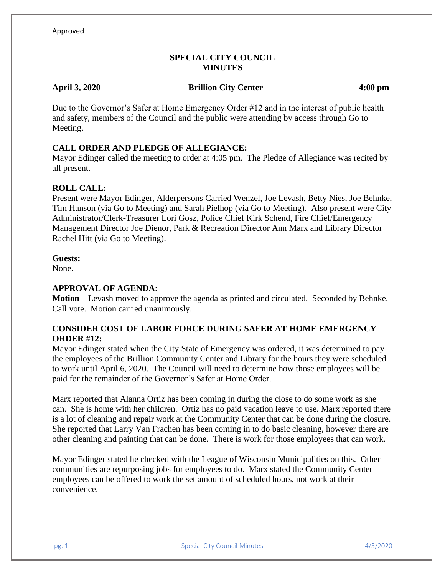# **SPECIAL CITY COUNCIL MINUTES**

## **April 3, 2020 Brillion City Center 4:00 pm**

Due to the Governor's Safer at Home Emergency Order #12 and in the interest of public health and safety, members of the Council and the public were attending by access through Go to Meeting.

# **CALL ORDER AND PLEDGE OF ALLEGIANCE:**

Mayor Edinger called the meeting to order at 4:05 pm. The Pledge of Allegiance was recited by all present.

## **ROLL CALL:**

Present were Mayor Edinger, Alderpersons Carried Wenzel, Joe Levash, Betty Nies, Joe Behnke, Tim Hanson (via Go to Meeting) and Sarah Pielhop (via Go to Meeting). Also present were City Administrator/Clerk-Treasurer Lori Gosz, Police Chief Kirk Schend, Fire Chief/Emergency Management Director Joe Dienor, Park & Recreation Director Ann Marx and Library Director Rachel Hitt (via Go to Meeting).

### **Guests:**

None.

## **APPROVAL OF AGENDA:**

**Motion** – Levash moved to approve the agenda as printed and circulated. Seconded by Behnke. Call vote. Motion carried unanimously.

# **CONSIDER COST OF LABOR FORCE DURING SAFER AT HOME EMERGENCY ORDER #12:**

Mayor Edinger stated when the City State of Emergency was ordered, it was determined to pay the employees of the Brillion Community Center and Library for the hours they were scheduled to work until April 6, 2020. The Council will need to determine how those employees will be paid for the remainder of the Governor's Safer at Home Order.

Marx reported that Alanna Ortiz has been coming in during the close to do some work as she can. She is home with her children. Ortiz has no paid vacation leave to use. Marx reported there is a lot of cleaning and repair work at the Community Center that can be done during the closure. She reported that Larry Van Frachen has been coming in to do basic cleaning, however there are other cleaning and painting that can be done. There is work for those employees that can work.

Mayor Edinger stated he checked with the League of Wisconsin Municipalities on this. Other communities are repurposing jobs for employees to do. Marx stated the Community Center employees can be offered to work the set amount of scheduled hours, not work at their convenience.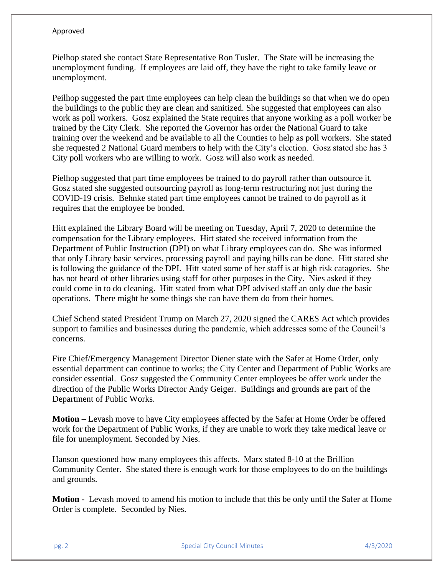### Approved

Pielhop stated she contact State Representative Ron Tusler. The State will be increasing the unemployment funding. If employees are laid off, they have the right to take family leave or unemployment.

Peilhop suggested the part time employees can help clean the buildings so that when we do open the buildings to the public they are clean and sanitized. She suggested that employees can also work as poll workers. Gosz explained the State requires that anyone working as a poll worker be trained by the City Clerk. She reported the Governor has order the National Guard to take training over the weekend and be available to all the Counties to help as poll workers. She stated she requested 2 National Guard members to help with the City's election. Gosz stated she has 3 City poll workers who are willing to work. Gosz will also work as needed.

Pielhop suggested that part time employees be trained to do payroll rather than outsource it. Gosz stated she suggested outsourcing payroll as long-term restructuring not just during the COVID-19 crisis. Behnke stated part time employees cannot be trained to do payroll as it requires that the employee be bonded.

Hitt explained the Library Board will be meeting on Tuesday, April 7, 2020 to determine the compensation for the Library employees. Hitt stated she received information from the Department of Public Instruction (DPI) on what Library employees can do. She was informed that only Library basic services, processing payroll and paying bills can be done. Hitt stated she is following the guidance of the DPI. Hitt stated some of her staff is at high risk catagories. She has not heard of other libraries using staff for other purposes in the City. Nies asked if they could come in to do cleaning. Hitt stated from what DPI advised staff an only due the basic operations. There might be some things she can have them do from their homes.

Chief Schend stated President Trump on March 27, 2020 signed the CARES Act which provides support to families and businesses during the pandemic, which addresses some of the Council's concerns.

Fire Chief/Emergency Management Director Diener state with the Safer at Home Order, only essential department can continue to works; the City Center and Department of Public Works are consider essential. Gosz suggested the Community Center employees be offer work under the direction of the Public Works Director Andy Geiger. Buildings and grounds are part of the Department of Public Works.

**Motion –** Levash move to have City employees affected by the Safer at Home Order be offered work for the Department of Public Works, if they are unable to work they take medical leave or file for unemployment. Seconded by Nies.

Hanson questioned how many employees this affects. Marx stated 8-10 at the Brillion Community Center. She stated there is enough work for those employees to do on the buildings and grounds.

**Motion -** Levash moved to amend his motion to include that this be only until the Safer at Home Order is complete. Seconded by Nies.